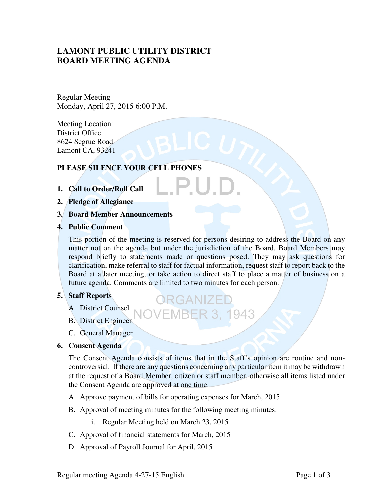# **LAMONT PUBLIC UTILITY DISTRICT BOARD MEETING AGENDA**

Regular Meeting Monday, April 27, 2015 6:00 P.M.

Meeting Location: District Office 8624 Segrue Road Lamont CA, 93241

# **PLEASE SILENCE YOUR CELL PHONES**

- **1. Call to Order/Roll Call**
- **2. Pledge of Allegiance**
- **3. Board Member Announcements**
- **4. Public Comment**

This portion of the meeting is reserved for persons desiring to address the Board on any matter not on the agenda but under the jurisdiction of the Board. Board Members may respond briefly to statements made or questions posed. They may ask questions for clarification, make referral to staff for factual information, request staff to report back to the Board at a later meeting, or take action to direct staff to place a matter of business on a future agenda. Comments are limited to two minutes for each person.

**BER 3, 1943** 

# **5. Staff Reports**

- A. District Counsel
- B. District Engineer
- C. General Manager
- **6. Consent Agenda**

The Consent Agenda consists of items that in the Staff's opinion are routine and noncontroversial. If there are any questions concerning any particular item it may be withdrawn at the request of a Board Member, citizen or staff member, otherwise all items listed under the Consent Agenda are approved at one time.

- A. Approve payment of bills for operating expenses for March, 2015
- B. Approval of meeting minutes for the following meeting minutes:
	- i. Regular Meeting held on March 23, 2015
- C**.** Approval of financial statements for March, 2015
- D. Approval of Payroll Journal for April, 2015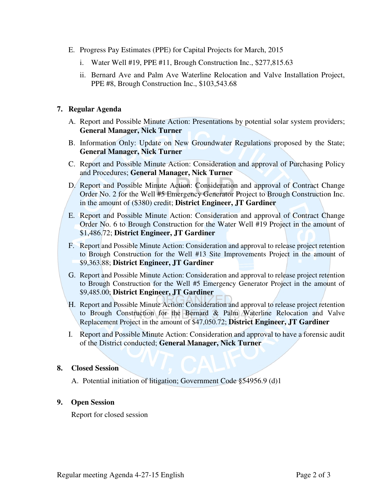- E. Progress Pay Estimates (PPE) for Capital Projects for March, 2015
	- i. Water Well #19, PPE #11, Brough Construction Inc., \$277,815.63
	- ii. Bernard Ave and Palm Ave Waterline Relocation and Valve Installation Project, PPE #8, Brough Construction Inc., \$103,543.68

## **7. Regular Agenda**

- A. Report and Possible Minute Action: Presentations by potential solar system providers; **General Manager, Nick Turner**
- B. Information Only: Update on New Groundwater Regulations proposed by the State; **General Manager, Nick Turner**
- C. Report and Possible Minute Action: Consideration and approval of Purchasing Policy and Procedures; **General Manager, Nick Turner**
- D. Report and Possible Minute Action: Consideration and approval of Contract Change Order No. 2 for the Well #5 Emergency Generator Project to Brough Construction Inc. in the amount of (\$380) credit; **District Engineer, JT Gardiner**
- E. Report and Possible Minute Action: Consideration and approval of Contract Change Order No. 6 to Brough Construction for the Water Well #19 Project in the amount of \$1,486.72; **District Engineer, JT Gardiner**
- F. Report and Possible Minute Action: Consideration and approval to release project retention to Brough Construction for the Well #13 Site Improvements Project in the amount of \$9,363.88; **District Engineer, JT Gardiner**
- G. Report and Possible Minute Action: Consideration and approval to release project retention to Brough Construction for the Well #5 Emergency Generator Project in the amount of \$9,485.00; **District Engineer, JT Gardiner**
- H. Report and Possible Minute Action: Consideration and approval to release project retention to Brough Construction for the Bernard & Palm Waterline Relocation and Valve Replacement Project in the amount of \$47,050.72; **District Engineer, JT Gardiner**
- I. Report and Possible Minute Action: Consideration and approval to have a forensic audit of the District conducted; **General Manager, Nick Turner**

### **8. Closed Session**

A. Potential initiation of litigation; Government Code §54956.9 (d)1

### **9. Open Session**

Report for closed session